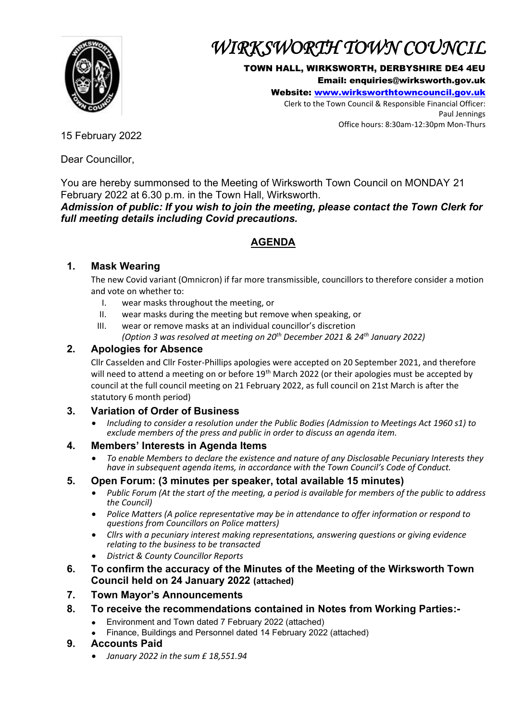

# *WIRKSWORTH TOWN COUNCIL*

#### TOWN HALL, WIRKSWORTH, DERBYSHIRE DE4 4EU

Email: enquiries@wirksworth.gov.uk

Website: [www.wirksworthtowncouncil.gov.uk](http://www.wirksworthtowncouncil.gov.uk/)

Clerk to the Town Council & Responsible Financial Officer: Paul Jennings Office hours: 8:30am-12:30pm Mon-Thurs

15 February 2022

Dear Councillor,

You are hereby summonsed to the Meeting of Wirksworth Town Council on MONDAY 21 February 2022 at 6.30 p.m. in the Town Hall, Wirksworth.

*Admission of public: If you wish to join the meeting, please contact the Town Clerk for full meeting details including Covid precautions.*

# **AGENDA**

## **1. Mask Wearing**

The new Covid variant (Omnicron) if far more transmissible, councillors to therefore consider a motion and vote on whether to:

- I. wear masks throughout the meeting, or
- II. wear masks during the meeting but remove when speaking, or
- III. wear or remove masks at an individual councillor's discretion
	- *(Option 3 was resolved at meeting on 20th December 2021 & 24th January 2022)*

## **2. Apologies for Absence**

Cllr Casselden and Cllr Foster-Phillips apologies were accepted on 20 September 2021, and therefore will need to attend a meeting on or before 19<sup>th</sup> March 2022 (or their apologies must be accepted by council at the full council meeting on 21 February 2022, as full council on 21st March is after the statutory 6 month period)

## **3. Variation of Order of Business**

• *Including to consider a resolution under the Public Bodies (Admission to Meetings Act 1960 s1) to exclude members of the press and public in order to discuss an agenda item.*

## **4. Members' Interests in Agenda Items**

• *To enable Members to declare the existence and nature of any Disclosable Pecuniary Interests they have in subsequent agenda items, in accordance with the Town Council's Code of Conduct.* 

## **5. Open Forum: (3 minutes per speaker, total available 15 minutes)**

- *Public Forum (At the start of the meeting, a period is available for members of the public to address the Council)*
- *Police Matters (A police representative may be in attendance to offer information or respond to questions from Councillors on Police matters)*
- *Cllrs with a pecuniary interest making representations, answering questions or giving evidence relating to the business to be transacted*
- *District & County Councillor Reports*
- **6. To confirm the accuracy of the Minutes of the Meeting of the Wirksworth Town Council held on 24 January 2022 (attached)**
- **7. Town Mayor's Announcements**
- **8. To receive the recommendations contained in Notes from Working Parties:-**
	- Environment and Town dated 7 February 2022 (attached)
	- Finance, Buildings and Personnel dated 14 February 2022 (attached)
- **9. Accounts Paid**
	- *January 2022 in the sum £ 18,551.94*